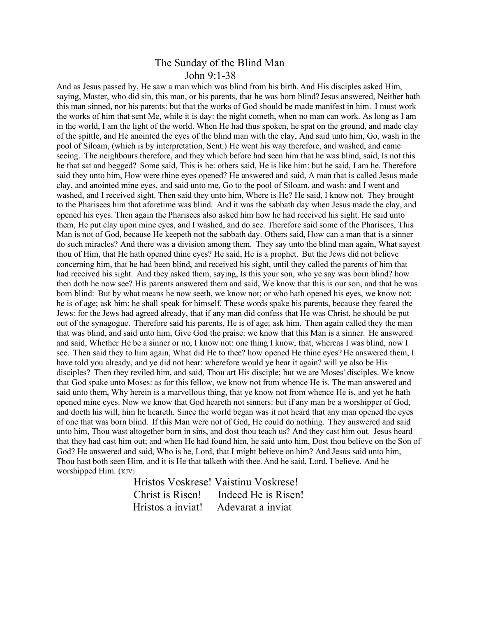## The Sunday of the Blind Man John 9:1-38

And as Jesus passed by, He saw a man which was blind from his birth. And His disciples asked Him, saying, Master, who did sin, this man, or his parents, that he was born blind? Jesus answered, Neither hath this man sinned, nor his parents: but that the works of God should be made manifest in him. I must work the works of him that sent Me, while it is day: the night cometh, when no man can work. As long as I am in the world, I am the light of the world. When He had thus spoken, he spat on the ground, and made clay of the spittle, and He anointed the eyes of the blind man with the clay, And said unto him, Go, wash in the pool of Siloam, (which is by interpretation, Sent.) He went his way therefore, and washed, and came seeing. The neighbours therefore, and they which before had seen him that he was blind, said, Is not this he that sat and begged? Some said, This is he: others said, He is like him: but he said, I am he. Therefore said they unto him, How were thine eyes opened? He answered and said, A man that is called Jesus made clay, and anointed mine eyes, and said unto me, Go to the pool of Siloam, and wash: and I went and washed, and I received sight. Then said they unto him, Where is He? He said, I know not. They brought to the Pharisees him that aforetime was blind. And it was the sabbath day when Jesus made the clay, and opened his eyes. Then again the Pharisees also asked him how he had received his sight. He said unto them, He put clay upon mine eyes, and I washed, and do see. Therefore said some of the Pharisees, This Man is not of God, because He keepeth not the sabbath day. Others said, How can a man that is a sinner do such miracles? And there was a division among them. They say unto the blind man again, What sayest thou of Him, that He hath opened thine eyes? He said, He is a prophet. But the Jews did not believe concerning him, that he had been blind, and received his sight, until they called the parents of him that had received his sight. And they asked them, saying, Is this your son, who ye say was born blind? how then doth he now see? His parents answered them and said, We know that this is our son, and that he was born blind: But by what means he now seeth, we know not; or who hath opened his eyes, we know not: he is of age; ask him: he shall speak for himself. These words spake his parents, because they feared the Jews: for the Jews had agreed already, that if any man did confess that He was Christ, he should be put out of the synagogue. Therefore said his parents, He is of age; ask him. Then again called they the man that was blind, and said unto him, Give God the praise: we know that this Man is a sinner. He answered and said, Whether He be a sinner or no, I know not: one thing I know, that, whereas I was blind, now I see. Then said they to him again, What did He to thee? how opened He thine eyes? He answered them, I have told you already, and ye did not hear: wherefore would ye hear it again? will ye also be His disciples? Then they reviled him, and said, Thou art His disciple; but we are Moses' disciples. We know that God spake unto Moses: as for this fellow, we know not from whence He is. The man answered and said unto them, Why herein is a marvellous thing, that ye know not from whence He is, and yet he hath opened mine eyes. Now we know that God heareth not sinners: but if any man be a worshipper of God, and doeth his will, him he heareth. Since the world began was it not heard that any man opened the eyes of one that was born blind. If this Man were not of God, He could do nothing. They answered and said unto him, Thou wast altogether born in sins, and dost thou teach us? And they cast him out. Jesus heard that they had cast him out; and when He had found him, he said unto him, Dost thou believe on the Son of God? He answered and said, Who is he, Lord, that I might believe on him? And Jesus said unto him, Thou hast both seen Him, and it is He that talketh with thee. And he said, Lord, I believe. And he worshipped Him. (KJV)

> Hristos Voskrese! Vaistinu Voskrese! Christ is Risen! Indeed He is Risen! Hristos a inviat! Adevarat a inviat